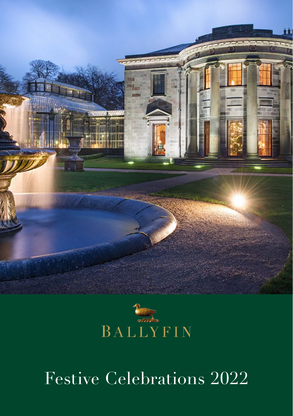



# Festive Celebrations 2022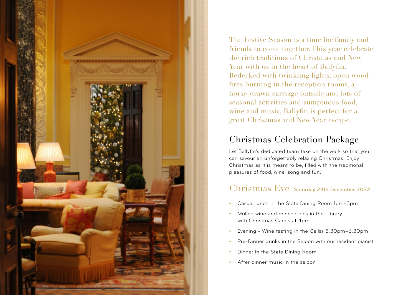

The Festive Season is a time for family and friends to come together. This year celebrate the rich traditions of Christmas and New Year with us in the heart of Ballyfin. Bedecked with twinkling lights, open wood fires burning in the reception rooms, a horse-drawn carriage outside and lots of seasonal activities and sumptuous food, wine and music, Ballyfin is perfect for a great Christmas and New Year escape.

# Christmas Celebration Package

Let Ballyfin's dedicated team take on the work so that you can savour an unforgettably relaxing Christmas. Enjoy Christmas as it is meant to be, filled with the traditional pleasures of food, wine, song and fun.

## Christmas Eve Saturday 24th December 2022

- **•** Casual lunch in the State Dining Room 1pm–3pm
- **•** Mulled wine and minced pies in the Library with Christmas Carols at 4pm
- **•** Evening Wine tasting in the Cellar 5.30pm–6.30pm
- **•** Pre-Dinner drinks in the Saloon with our resident pianist
- **•** Dinner in the State Dining Room
- **•** After dinner music in the saloon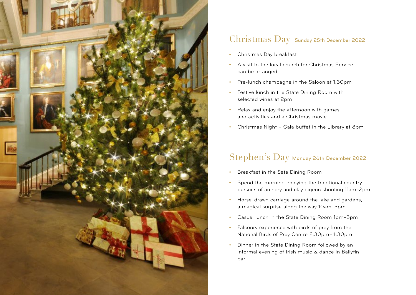

## Christmas Day Sunday 25th December 2022

- **•** Christmas Day breakfast
- **•** A visit to the local church for Christmas Service can be arranged
- **•** Pre-lunch champagne in the Saloon at 1.30pm
- **•** Festive lunch in the State Dining Room with selected wines at 2pm
- **•** Relax and enjoy the afternoon with games and activities and a Christmas movie
- **•** Christmas Night Gala buffet in the Library at 8pm

## Stephen's Day Monday 26th December 2022

- **•** Breakfast in the Sate Dining Room
- **•** Spend the morning enjoying the traditional country pursuits of archery and clay pigeon shooting 11am–2pm
- **•** Horse-drawn carriage around the lake and gardens, a magical surprise along the way 10am–3pm
- **•** Casual lunch in the State Dining Room 1pm–3pm
- **•** Falconry experience with birds of prey from the National Birds of Prey Centre 2.30pm–4.30pm
- **•** Dinner in the State Dining Room followed by an informal evening of Irish music & dance in Ballyfin bar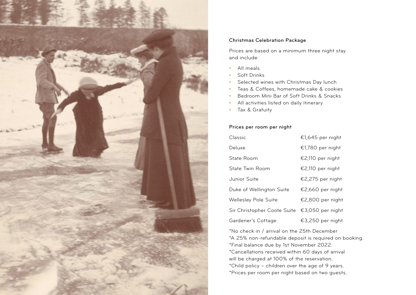

### Christmas Celebration Package

Prices are based on a minimum three night stay and include:

- **•** All meals
- **•** Soft Drinks
- **•** Selected wines with Christmas Day lunch
- **•** Teas & Coffees, homemade cake & cookies
- **•** Bedroom Mini Bar of Soft Drinks & Snacks
- **•** All activities listed on daily itinerary
- **•** Tax & Gratuity

### Prices per room per night

| Classic                     | €1,645 per night |
|-----------------------------|------------------|
| Deluxe                      | €1,780 per night |
| State Room                  | €2,110 per night |
| State Twin Room             | €2,110 per night |
| Junior Suite                | €2,275 per night |
| Duke of Wellington Suite    | €2,660 per night |
| Wellesley Pole Suite        | €2,800 per night |
| Sir Christopher Coote Suite | €3,050 per night |
| Gardener's Cottage          | €3,250 per night |

\*No check in / arrival on the 25th December \*A 25% non-refundable deposit is required on booking. \*Final balance due by 1st November 2022. \*Cancellations received within 60 days of arrival will be charged at 100% of the reservation. \*Child policy – children over the age of 9 years. \*Prices per room per night based on two guests.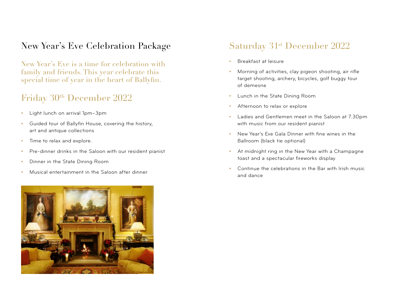# New Year's Eve Celebration Package

New Year's Eve is a time for celebration with family and friends. This year celebrate this special time of year in the heart of Ballyfin.

# Friday  $30<sup>th</sup>$  December 2022

- **•** Light lunch on arrival 1pm–3pm
- **•** Guided tour of Ballyfin House, covering the history, art and antique collections
- **•** Time to relax and explore.
- **•** Pre-dinner drinks in the Saloon with our resident pianist
- **•** Dinner in the State Dining Room
- **•** Musical entertainment in the Saloon after dinner



# Saturday 31<sup>st</sup> December 2022

- **•** Breakfast at leisure
- **•** Morning of activities, clay pigeon shooting, air rifle target shooting, archery, bicycles, golf buggy tour of demesne
- **•** Lunch in the State Dining Room
- **•** Afternoon to relax or explore
- **•** Ladies and Gentlemen meet in the Saloon at 7.30pm with music from our resident pianist
- **•** New Year's Eve Gala Dinner with fine wines in the Ballroom (black tie optional)
- **•** At midnight ring in the New Year with a Champagne toast and a spectacular fireworks display
- **•** Continue the celebrations in the Bar with Irish music and dance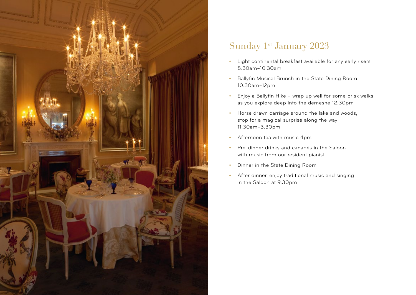

# Sunday 1<sup>st</sup> January 2023

- **•** Light continental breakfast available for any early risers 8.30am–10.30am
- **•** Ballyfin Musical Brunch in the State Dining Room 10.30am–12pm
- **•** Enjoy a Ballyfin Hike wrap up well for some brisk walks as you explore deep into the demesne 12.30pm
- **•** Horse drawn carriage around the lake and woods, stop for a magical surprise along the way 11.30am–3.30pm
- **•** Afternoon tea with music 4pm
- **•** Pre-dinner drinks and canapés in the Saloon with music from our resident pianist
- **•** Dinner in the State Dining Room
- **•** After dinner, enjoy traditional music and singing in the Saloon at 9.30pm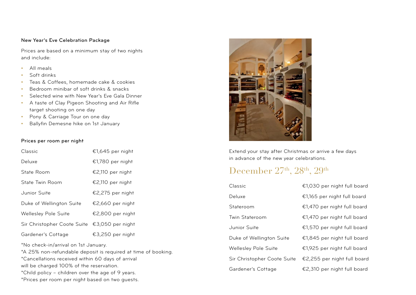### New Year's Eve Celebration Package

Prices are based on a minimum stay of two nights and include:

- **•** All meals
- **•** Soft drinks
- **•** Teas & Coffees, homemade cake & cookies
- **•** Bedroom minibar of soft drinks & snacks
- **•** Selected wine with New Year's Eve Gala Dinner
- **•** A taste of Clay Pigeon Shooting and Air Rifle target shooting on one day
- **•** Pony & Carriage Tour on one day
- **•** Ballyfin Demesne hike on 1st January

### Prices per room per night

| Classic                     | €1,645 per night |
|-----------------------------|------------------|
| Deluxe                      | €1,780 per night |
| State Room                  | €2,110 per night |
| State Twin Room             | €2,110 per night |
| Junior Suite                | €2,275 per night |
| Duke of Wellington Suite    | €2,660 per night |
| Wellesley Pole Suite        | €2,800 per night |
| Sir Christopher Coote Suite | €3,050 per night |
| Gardener's Cottage          | €3,250 per night |

\*No check-in/arrival on 1st January.

\*A 25% non-refundable deposit is required at time of booking. \*Cancellations received within 60 days of arrival

will be charged 100% of the reservation.

\*Child policy – children over the age of 9 years.

\*Prices per room per night based on two guests.



Extend your stay after Christmas or arrive a few days in advance of the new year celebrations.

# December  $27<sup>th</sup>$ ,  $28<sup>th</sup>$ ,  $29<sup>th</sup>$

| Classic                     | €1,030 per night full board |
|-----------------------------|-----------------------------|
| Deluxe                      | €1,165 per night full board |
| Stateroom                   | €1,470 per night full board |
| Twin Stateroom              | €1,470 per night full board |
| Junior Suite                | €1,570 per night full board |
| Duke of Wellington Suite    | €1,845 per night full board |
| <b>Wellesley Pole Suite</b> | €1,925 per night full board |
| Sir Christopher Coote Suite | €2,255 per night full board |
| Gardener's Cottage          | €2,310 per night full board |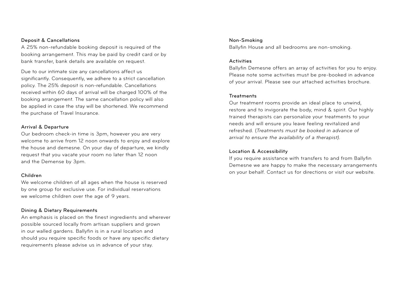### Deposit & Cancellations

A 25% non-refundable booking deposit is required of the booking arrangement. This may be paid by credit card or by bank transfer, bank details are available on request.

Due to our intimate size any cancellations affect us significantly. Consequently, we adhere to a strict cancellation policy. The 25% deposit is non-refundable. Cancellations received within 60 days of arrival will be charged 100% of the booking arrangement. The same cancellation policy will also be applied in case the stay will be shortened. We recommend the purchase of Travel Insurance.

#### Arrival & Departure

Our bedroom check-in time is 3pm, however you are very welcome to arrive from 12 noon onwards to enjoy and explore the house and demesne. On your day of departure, we kindly request that you vacate your room no later than 12 noon and the Demense by 3pm.

#### Children

We welcome children of all ages when the house is reserved by one group for exclusive use. For individual reservations we welcome children over the age of 9 years.

### Dining & Dietary Requirements

An emphasis is placed on the finest ingredients and wherever possible sourced locally from artisan suppliers and grown in our walled gardens. Ballyfin is in a rural location and should you require specific foods or have any specific dietary requirements please advise us in advance of your stay.

### Non-Smoking

Ballyfin House and all bedrooms are non-smoking.

#### Activities

Ballyfin Demesne offers an array of activities for you to enjoy. Please note some activities must be pre-booked in advance of your arrival. Please see our attached activities brochure.

### **Treatments**

Our treatment rooms provide an ideal place to unwind, restore and to invigorate the body, mind & spirit. Our highly trained therapists can personalize your treatments to your needs and will ensure you leave feeling revitalized and refreshed. (*Treatments must be booked in advance of arrival to ensure the availability of a therapist).*

### Location & Accessibility

If you require assistance with transfers to and from Ballyfin Demesne we are happy to make the necessary arrangements on your behalf. Contact us for directions or visit our website.